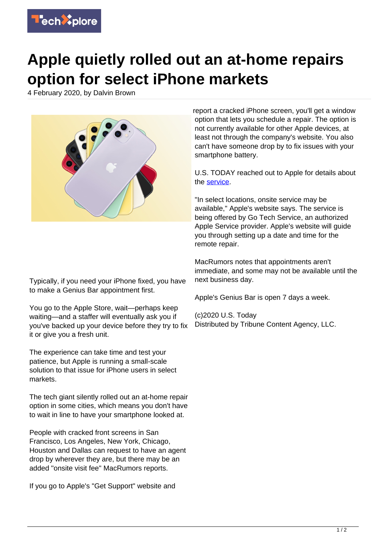

## **Apple quietly rolled out an at-home repairs option for select iPhone markets**

4 February 2020, by Dalvin Brown



Typically, if you need your iPhone fixed, you have to make a Genius Bar appointment first.

You go to the Apple Store, wait—perhaps keep waiting—and a staffer will eventually ask you if you've backed up your device before they try to fix it or give you a fresh unit.

The experience can take time and test your patience, but Apple is running a small-scale solution to that issue for iPhone users in select markets.

The tech giant silently rolled out an at-home repair option in some cities, which means you don't have to wait in line to have your smartphone looked at.

People with cracked front screens in San Francisco, Los Angeles, New York, Chicago, Houston and Dallas can request to have an agent drop by wherever they are, but there may be an added "onsite visit fee" MacRumors reports.

If you go to Apple's "Get Support" website and

report a cracked iPhone screen, you'll get a window option that lets you schedule a repair. The option is not currently available for other Apple devices, at least not through the company's website. You also can't have someone drop by to fix issues with your smartphone battery.

U.S. TODAY reached out to Apple for details about the [service.](https://techxplore.com/tags/service/)

"In select locations, onsite service may be available," Apple's website says. The service is being offered by Go Tech Service, an authorized Apple Service provider. Apple's website will guide you through setting up a date and time for the remote repair.

MacRumors notes that appointments aren't immediate, and some may not be available until the next business day.

Apple's Genius Bar is open 7 days a week.

(c)2020 U.S. Today Distributed by Tribune Content Agency, LLC.